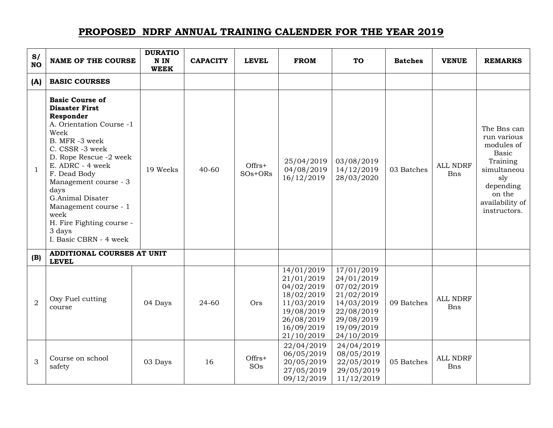## **PROPOSED NDRF ANNUAL TRAINING CALENDER FOR THE YEAR 2019**

| S/<br><b>NO</b> | <b>NAME OF THE COURSE</b>                                                                                                                                                                                                                                                                                                                                  | <b>DURATIO</b><br>N IN<br><b>WEEK</b> | <b>CAPACITY</b> | <b>LEVEL</b>          | <b>FROM</b>                                                                                                                | <b>TO</b>                                                                                                                  | <b>Batches</b> | <b>VENUE</b>                  | <b>REMARKS</b>                                                                                                                                       |
|-----------------|------------------------------------------------------------------------------------------------------------------------------------------------------------------------------------------------------------------------------------------------------------------------------------------------------------------------------------------------------------|---------------------------------------|-----------------|-----------------------|----------------------------------------------------------------------------------------------------------------------------|----------------------------------------------------------------------------------------------------------------------------|----------------|-------------------------------|------------------------------------------------------------------------------------------------------------------------------------------------------|
| (A)             | <b>BASIC COURSES</b>                                                                                                                                                                                                                                                                                                                                       |                                       |                 |                       |                                                                                                                            |                                                                                                                            |                |                               |                                                                                                                                                      |
| $\mathbf{1}$    | <b>Basic Course of</b><br><b>Disaster First</b><br>Responder<br>A. Orientation Course -1<br>Week<br>B. MFR -3 week<br>C. CSSR -3 week<br>D. Rope Rescue -2 week<br>E. ADRC - 4 week<br>F. Dead Body<br>Management course - 3<br>days<br>G.Animal Disater<br>Management course - 1<br>week<br>H. Fire Fighting course -<br>3 days<br>I. Basic CBRN - 4 week | 19 Weeks                              | $40 - 60$       | $Offrs+$<br>$SOs+ORS$ | 25/04/2019<br>04/08/2019<br>16/12/2019                                                                                     | 03/08/2019<br>14/12/2019<br>28/03/2020                                                                                     | 03 Batches     | <b>ALL NDRF</b><br><b>Bns</b> | The Bns can<br>run various<br>modules of<br><b>Basic</b><br>Training<br>simultaneou<br>sly<br>depending<br>on the<br>availability of<br>instructors. |
| (B)             | ADDITIONAL COURSES AT UNIT<br><b>LEVEL</b>                                                                                                                                                                                                                                                                                                                 |                                       |                 |                       |                                                                                                                            |                                                                                                                            |                |                               |                                                                                                                                                      |
| $\overline{2}$  | Oxy Fuel cutting<br>course                                                                                                                                                                                                                                                                                                                                 | 04 Days                               | 24-60           | Ors                   | 14/01/2019<br>21/01/2019<br>04/02/2019<br>18/02/2019<br>11/03/2019<br>19/08/2019<br>26/08/2019<br>16/09/2019<br>21/10/2019 | 17/01/2019<br>24/01/2019<br>07/02/2019<br>21/02/2019<br>14/03/2019<br>22/08/2019<br>29/08/2019<br>19/09/2019<br>24/10/2019 | 09 Batches     | <b>ALL NDRF</b><br>Bns        |                                                                                                                                                      |
| 3               | Course on school<br>safety                                                                                                                                                                                                                                                                                                                                 | 03 Days                               | 16              | Offrs+<br>SOs         | 22/04/2019<br>06/05/2019<br>20/05/2019<br>27/05/2019<br>09/12/2019                                                         | 24/04/2019<br>08/05/2019<br>22/05/2019<br>29/05/2019<br>11/12/2019                                                         | 05 Batches     | <b>ALL NDRF</b><br><b>Bns</b> |                                                                                                                                                      |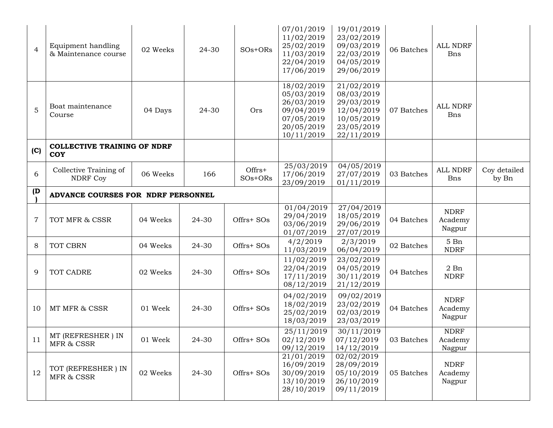| $\overline{4}$ | Equipment handling<br>& Maintenance course       | 02 Weeks        | 24-30 | $SOs+ORS$           | 07/01/2019<br>11/02/2019<br>25/02/2019<br>11/03/2019<br>22/04/2019<br>17/06/2019               | 19/01/2019<br>23/02/2019<br>09/03/2019<br>22/03/2019<br>04/05/2019<br>29/06/2019               | 06 Batches | ALL NDRF<br><b>Bns</b>           |                       |
|----------------|--------------------------------------------------|-----------------|-------|---------------------|------------------------------------------------------------------------------------------------|------------------------------------------------------------------------------------------------|------------|----------------------------------|-----------------------|
| 5              | Boat maintenance<br>Course                       | 04 Days         | 24-30 | Ors                 | 18/02/2019<br>05/03/2019<br>26/03/2019<br>09/04/2019<br>07/05/2019<br>20/05/2019<br>10/11/2019 | 21/02/2019<br>08/03/2019<br>29/03/2019<br>12/04/2019<br>10/05/2019<br>23/05/2019<br>22/11/2019 | 07 Batches | ALL NDRF<br><b>Bns</b>           |                       |
| (C)            | <b>COLLECTIVE TRAINING OF NDRF</b><br><b>COY</b> |                 |       |                     |                                                                                                |                                                                                                |            |                                  |                       |
| 6              | Collective Training of<br><b>NDRF Coy</b>        | 06 Weeks        | 166   | Offrs+<br>$SOs+ORS$ | 25/03/2019<br>17/06/2019<br>23/09/2019                                                         | 04/05/2019<br>27/07/2019<br>01/11/2019                                                         | 03 Batches | ALL NDRF<br>Bns                  | Coy detailed<br>by Bn |
| (D)            | ADVANCE COURSES FOR NDRF PERSONNEL               |                 |       |                     |                                                                                                |                                                                                                |            |                                  |                       |
| $\overline{7}$ | TOT MFR & CSSR                                   | 04 Weeks        | 24-30 | Offrs+ SOs          | 01/04/2019<br>29/04/2019<br>03/06/2019<br>01/07/2019                                           | 27/04/2019<br>18/05/2019<br>29/06/2019<br>27/07/2019                                           | 04 Batches | <b>NDRF</b><br>Academy<br>Nagpur |                       |
| 8              | TOT CBRN                                         | 04 Weeks        | 24-30 | Offrs+ SOs          | 4/2/2019<br>11/03/2019                                                                         | 2/3/2019<br>06/04/2019                                                                         | 02 Batches | 5Bn<br><b>NDRF</b>               |                       |
| 9              | TOT CADRE                                        | 02 Weeks        | 24-30 | Offrs+ SOs          | 11/02/2019<br>22/04/2019<br>17/11/2019<br>08/12/2019                                           | 23/02/2019<br>04/05/2019<br>30/11/2019<br>21/12/2019                                           | 04 Batches | $2$ Bn<br><b>NDRF</b>            |                       |
| 10             | MT MFR & CSSR                                    | 01 Week         | 24-30 | Offrs+ SOs          | 04/02/2019<br>18/02/2019<br>25/02/2019<br>18/03/2019                                           | 09/02/2019<br>23/02/2019<br>02/03/2019<br>23/03/2019                                           | 04 Batches | <b>NDRF</b><br>Academy<br>Nagpur |                       |
| 11             | MT (REFRESHER) IN<br>MFR & CSSR                  | $01\;\rm{Week}$ | 24-30 | Offrs+ SOs          | 25/11/2019<br>02/12/2019<br>09/12/2019                                                         | 30/11/2019<br>07/12/2019<br>14/12/2019                                                         | 03 Batches | <b>NDRF</b><br>Academy<br>Nagpur |                       |
| 12             | TOT (REFRESHER) IN<br>MFR & CSSR                 | 02 Weeks        | 24-30 | Offrs+ SOs          | 21/01/2019<br>16/09/2019<br>30/09/2019<br>13/10/2019<br>28/10/2019                             | 02/02/2019<br>28/09/2019<br>05/10/2019<br>26/10/2019<br>09/11/2019                             | 05 Batches | <b>NDRF</b><br>Academy<br>Nagpur |                       |